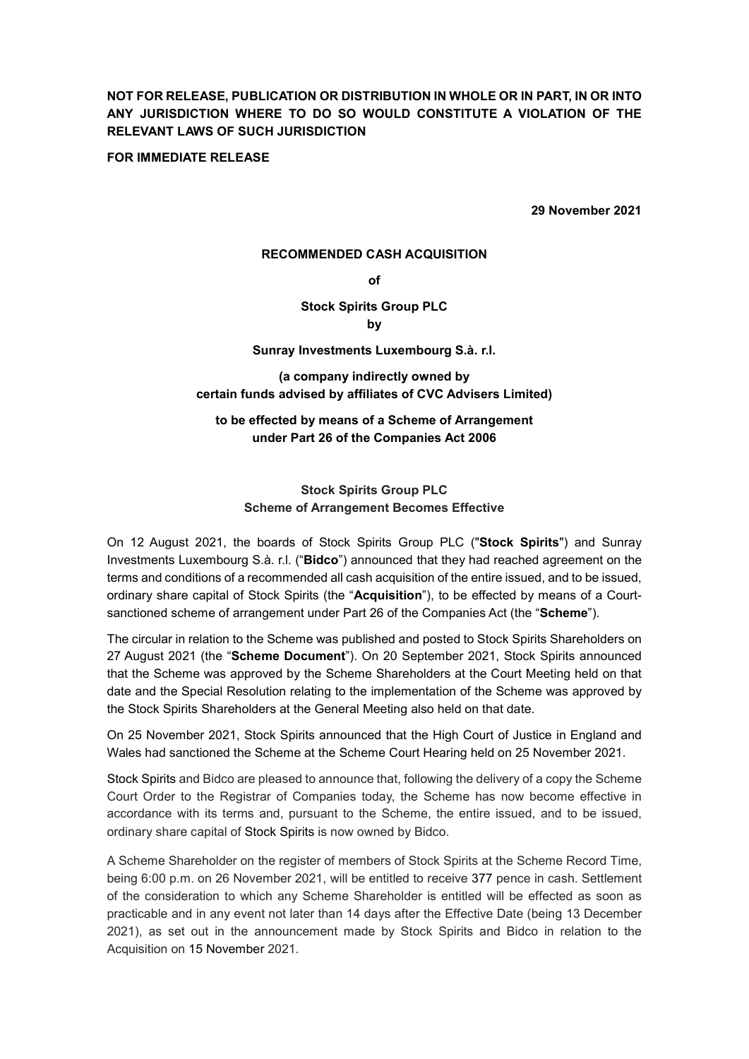NOT FOR RELEASE, PUBLICATION OR DISTRIBUTION IN WHOLE OR IN PART, IN OR INTO ANY JURISDICTION WHERE TO DO SO WOULD CONSTITUTE A VIOLATION OF THE RELEVANT LAWS OF SUCH JURISDICTION

FOR IMMEDIATE RELEASE

29 November 2021

#### RECOMMENDED CASH ACQUISITION

of

# Stock Spirits Group PLC

by

## Sunray Investments Luxembourg S.à. r.l.

(a company indirectly owned by certain funds advised by affiliates of CVC Advisers Limited)

# to be effected by means of a Scheme of Arrangement under Part 26 of the Companies Act 2006

## Stock Spirits Group PLC Scheme of Arrangement Becomes Effective

On 12 August 2021, the boards of Stock Spirits Group PLC ("Stock Spirits") and Sunray Investments Luxembourg S.à. r.l. ("Bidco") announced that they had reached agreement on the terms and conditions of a recommended all cash acquisition of the entire issued, and to be issued, ordinary share capital of Stock Spirits (the "Acquisition"), to be effected by means of a Courtsanctioned scheme of arrangement under Part 26 of the Companies Act (the "Scheme").

The circular in relation to the Scheme was published and posted to Stock Spirits Shareholders on 27 August 2021 (the "Scheme Document"). On 20 September 2021, Stock Spirits announced that the Scheme was approved by the Scheme Shareholders at the Court Meeting held on that date and the Special Resolution relating to the implementation of the Scheme was approved by the Stock Spirits Shareholders at the General Meeting also held on that date.

On 25 November 2021, Stock Spirits announced that the High Court of Justice in England and Wales had sanctioned the Scheme at the Scheme Court Hearing held on 25 November 2021.

Stock Spirits and Bidco are pleased to announce that, following the delivery of a copy the Scheme Court Order to the Registrar of Companies today, the Scheme has now become effective in accordance with its terms and, pursuant to the Scheme, the entire issued, and to be issued, ordinary share capital of Stock Spirits is now owned by Bidco.

A Scheme Shareholder on the register of members of Stock Spirits at the Scheme Record Time, being 6:00 p.m. on 26 November 2021, will be entitled to receive 377 pence in cash. Settlement of the consideration to which any Scheme Shareholder is entitled will be effected as soon as practicable and in any event not later than 14 days after the Effective Date (being 13 December 2021), as set out in the announcement made by Stock Spirits and Bidco in relation to the Acquisition on 15 November 2021.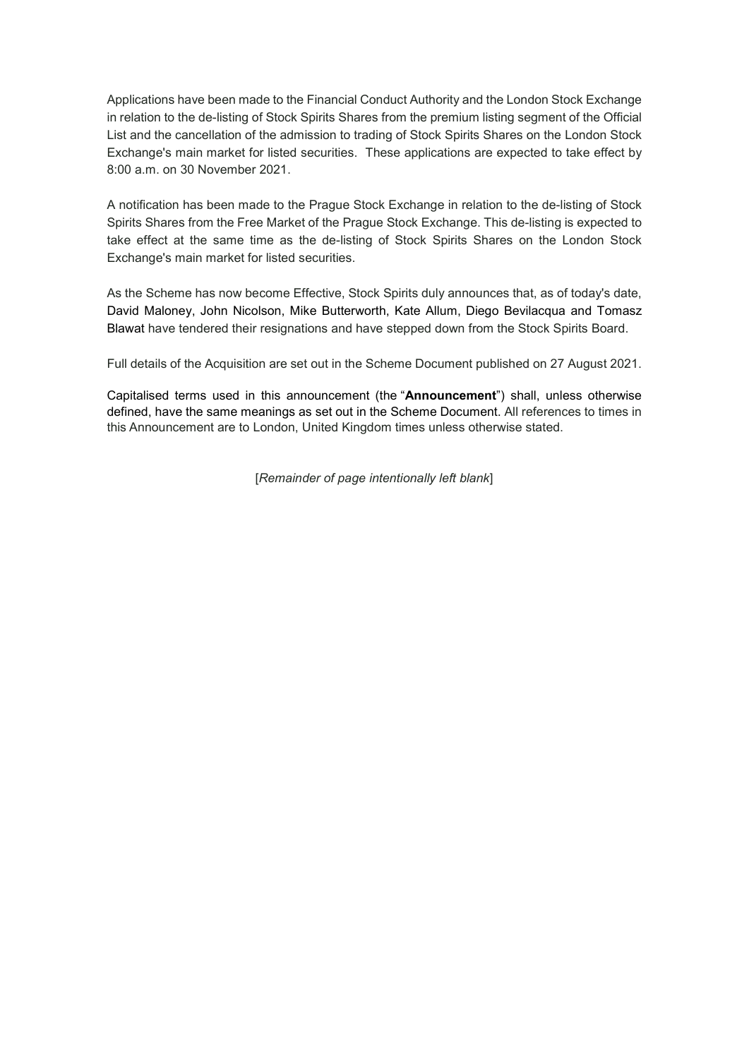Applications have been made to the Financial Conduct Authority and the London Stock Exchange in relation to the de-listing of Stock Spirits Shares from the premium listing segment of the Official List and the cancellation of the admission to trading of Stock Spirits Shares on the London Stock Exchange's main market for listed securities. These applications are expected to take effect by 8:00 a.m. on 30 November 2021.

A notification has been made to the Prague Stock Exchange in relation to the de-listing of Stock Spirits Shares from the Free Market of the Prague Stock Exchange. This de-listing is expected to take effect at the same time as the de-listing of Stock Spirits Shares on the London Stock Exchange's main market for listed securities.

As the Scheme has now become Effective, Stock Spirits duly announces that, as of today's date, David Maloney, John Nicolson, Mike Butterworth, Kate Allum, Diego Bevilacqua and Tomasz Blawat have tendered their resignations and have stepped down from the Stock Spirits Board.

Full details of the Acquisition are set out in the Scheme Document published on 27 August 2021.

Capitalised terms used in this announcement (the "Announcement") shall, unless otherwise defined, have the same meanings as set out in the Scheme Document. All references to times in this Announcement are to London, United Kingdom times unless otherwise stated.

[Remainder of page intentionally left blank]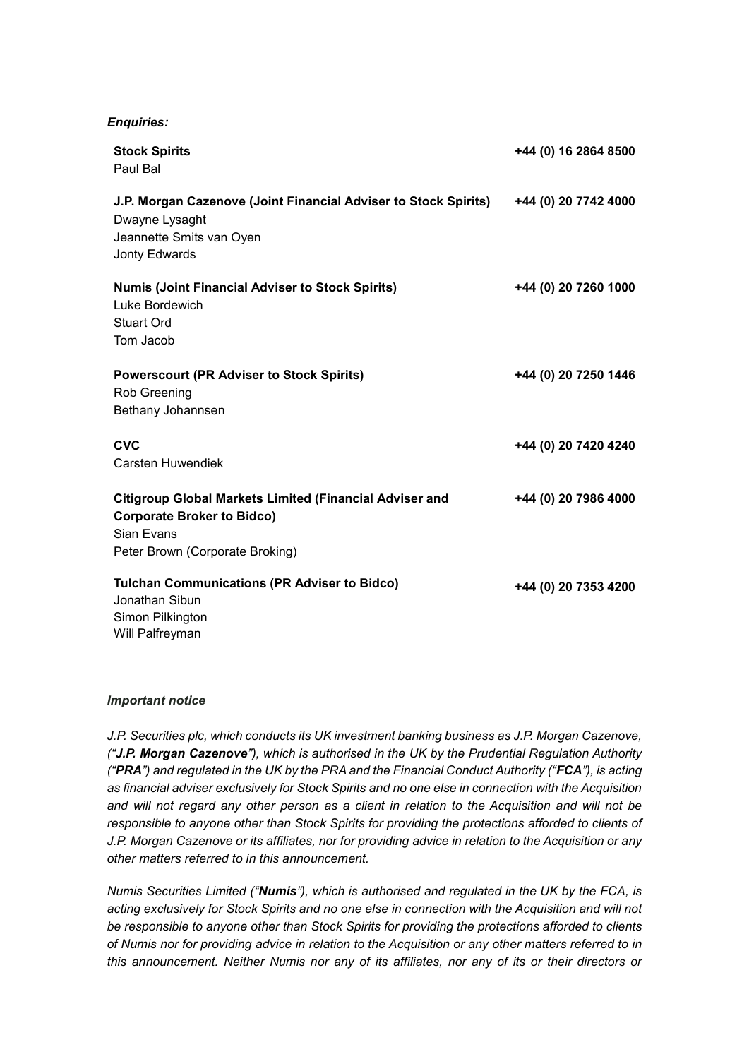## Enquiries:

| <b>Stock Spirits</b><br>Paul Bal                                                                                                                     | +44 (0) 16 2864 8500 |
|------------------------------------------------------------------------------------------------------------------------------------------------------|----------------------|
| J.P. Morgan Cazenove (Joint Financial Adviser to Stock Spirits)<br>Dwayne Lysaght<br>Jeannette Smits van Oyen<br>Jonty Edwards                       | +44 (0) 20 7742 4000 |
| <b>Numis (Joint Financial Adviser to Stock Spirits)</b><br>Luke Bordewich<br>Stuart Ord<br>Tom Jacob                                                 | +44 (0) 20 7260 1000 |
| <b>Powerscourt (PR Adviser to Stock Spirits)</b><br>Rob Greening<br>Bethany Johannsen                                                                | +44 (0) 20 7250 1446 |
| <b>CVC</b><br><b>Carsten Huwendiek</b>                                                                                                               | +44 (0) 20 7420 4240 |
| <b>Citigroup Global Markets Limited (Financial Adviser and</b><br><b>Corporate Broker to Bidco)</b><br>Sian Evans<br>Peter Brown (Corporate Broking) | +44 (0) 20 7986 4000 |
| <b>Tulchan Communications (PR Adviser to Bidco)</b><br>Jonathan Sibun<br>Simon Pilkington<br>Will Palfreyman                                         | +44 (0) 20 7353 4200 |

#### Important notice

J.P. Securities plc, which conducts its UK investment banking business as J.P. Morgan Cazenove, ("J.P. Morgan Cazenove"), which is authorised in the UK by the Prudential Regulation Authority ("PRA") and regulated in the UK by the PRA and the Financial Conduct Authority ("FCA"), is acting as financial adviser exclusively for Stock Spirits and no one else in connection with the Acquisition and will not regard any other person as a client in relation to the Acquisition and will not be responsible to anyone other than Stock Spirits for providing the protections afforded to clients of J.P. Morgan Cazenove or its affiliates, nor for providing advice in relation to the Acquisition or any other matters referred to in this announcement.

Numis Securities Limited ("Numis"), which is authorised and regulated in the UK by the FCA, is acting exclusively for Stock Spirits and no one else in connection with the Acquisition and will not be responsible to anyone other than Stock Spirits for providing the protections afforded to clients of Numis nor for providing advice in relation to the Acquisition or any other matters referred to in this announcement. Neither Numis nor any of its affiliates, nor any of its or their directors or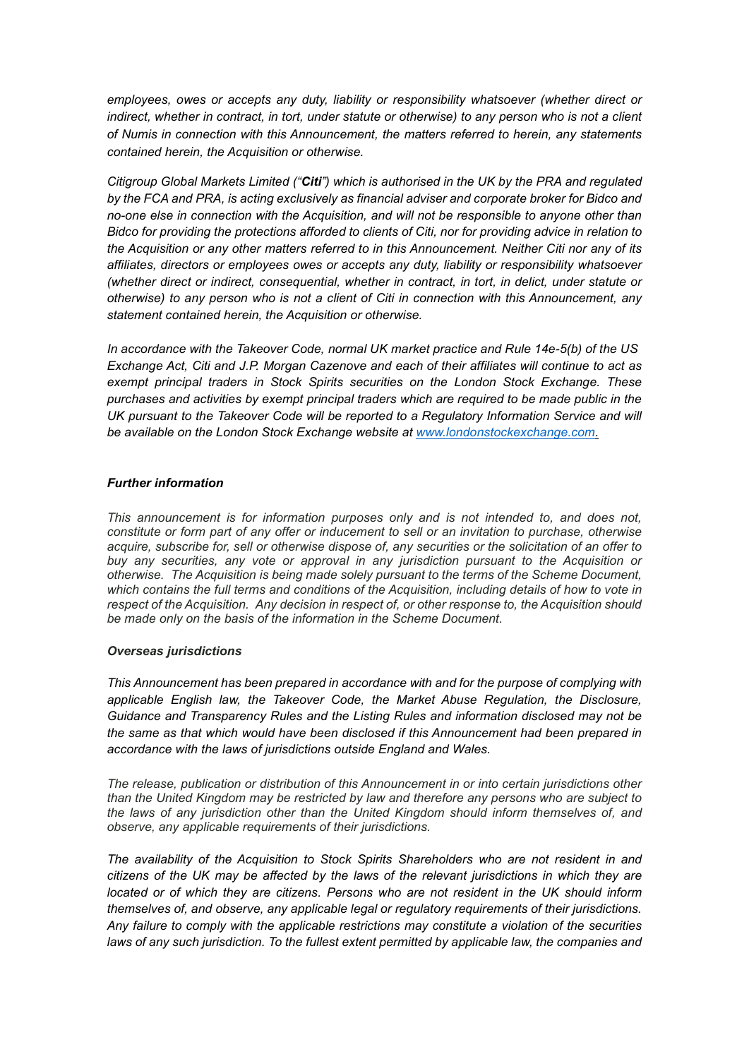employees, owes or accepts any duty, liability or responsibility whatsoever (whether direct or indirect, whether in contract, in tort, under statute or otherwise) to any person who is not a client of Numis in connection with this Announcement, the matters referred to herein, any statements contained herein, the Acquisition or otherwise.

Citigroup Global Markets Limited ("Citi") which is authorised in the UK by the PRA and regulated by the FCA and PRA, is acting exclusively as financial adviser and corporate broker for Bidco and no-one else in connection with the Acquisition, and will not be responsible to anyone other than Bidco for providing the protections afforded to clients of Citi, nor for providing advice in relation to the Acquisition or any other matters referred to in this Announcement. Neither Citi nor any of its affiliates, directors or employees owes or accepts any duty, liability or responsibility whatsoever (whether direct or indirect, consequential, whether in contract, in tort, in delict, under statute or otherwise) to any person who is not a client of Citi in connection with this Announcement, any statement contained herein, the Acquisition or otherwise.

In accordance with the Takeover Code, normal UK market practice and Rule 14e-5(b) of the US Exchange Act, Citi and J.P. Morgan Cazenove and each of their affiliates will continue to act as exempt principal traders in Stock Spirits securities on the London Stock Exchange. These purchases and activities by exempt principal traders which are required to be made public in the UK pursuant to the Takeover Code will be reported to a Regulatory Information Service and will be available on the London Stock Exchange website at www.londonstockexchange.com.

### Further information

This announcement is for information purposes only and is not intended to, and does not, constitute or form part of any offer or inducement to sell or an invitation to purchase, otherwise acquire, subscribe for, sell or otherwise dispose of, any securities or the solicitation of an offer to buy any securities, any vote or approval in any jurisdiction pursuant to the Acquisition or otherwise. The Acquisition is being made solely pursuant to the terms of the Scheme Document, which contains the full terms and conditions of the Acquisition, including details of how to vote in respect of the Acquisition. Any decision in respect of, or other response to, the Acquisition should be made only on the basis of the information in the Scheme Document.

#### Overseas jurisdictions

This Announcement has been prepared in accordance with and for the purpose of complying with applicable English law, the Takeover Code, the Market Abuse Regulation, the Disclosure, Guidance and Transparency Rules and the Listing Rules and information disclosed may not be the same as that which would have been disclosed if this Announcement had been prepared in accordance with the laws of jurisdictions outside England and Wales.

The release, publication or distribution of this Announcement in or into certain jurisdictions other than the United Kingdom may be restricted by law and therefore any persons who are subject to the laws of any jurisdiction other than the United Kingdom should inform themselves of, and observe, any applicable requirements of their jurisdictions.

The availability of the Acquisition to Stock Spirits Shareholders who are not resident in and citizens of the UK may be affected by the laws of the relevant jurisdictions in which they are located or of which they are citizens. Persons who are not resident in the UK should inform themselves of, and observe, any applicable legal or regulatory requirements of their jurisdictions. Any failure to comply with the applicable restrictions may constitute a violation of the securities laws of any such jurisdiction. To the fullest extent permitted by applicable law, the companies and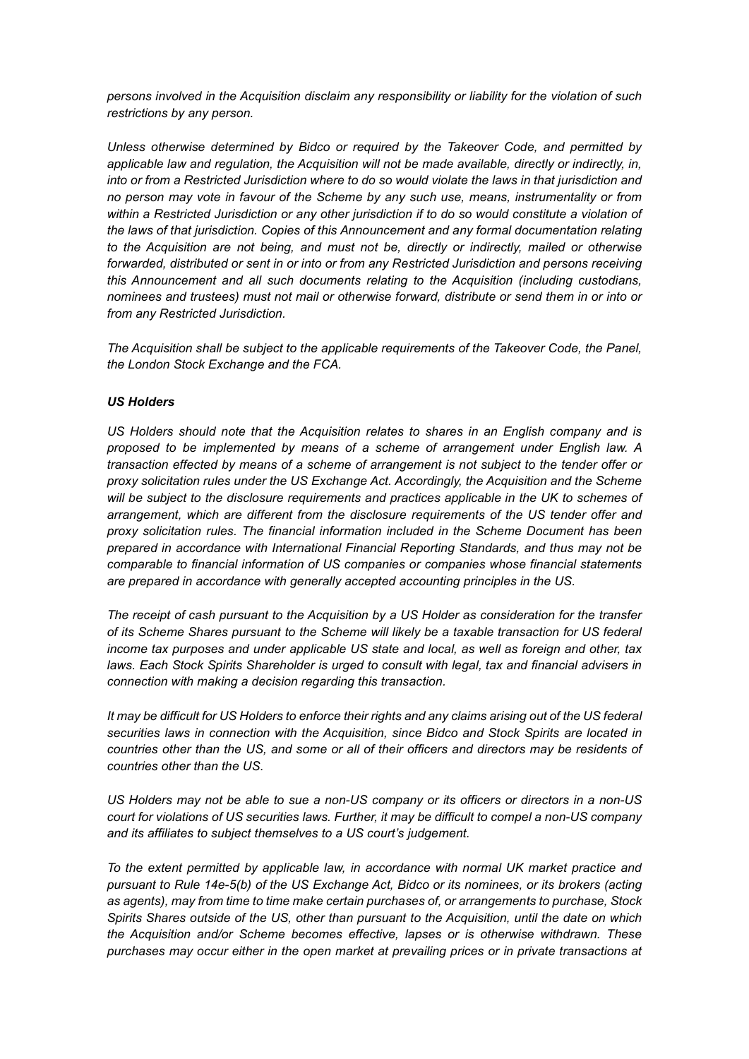persons involved in the Acquisition disclaim any responsibility or liability for the violation of such restrictions by any person.

Unless otherwise determined by Bidco or required by the Takeover Code, and permitted by applicable law and regulation, the Acquisition will not be made available, directly or indirectly, in, into or from a Restricted Jurisdiction where to do so would violate the laws in that jurisdiction and no person may vote in favour of the Scheme by any such use, means, instrumentality or from within a Restricted Jurisdiction or any other jurisdiction if to do so would constitute a violation of the laws of that jurisdiction. Copies of this Announcement and any formal documentation relating to the Acquisition are not being, and must not be, directly or indirectly, mailed or otherwise forwarded, distributed or sent in or into or from any Restricted Jurisdiction and persons receiving this Announcement and all such documents relating to the Acquisition (including custodians, nominees and trustees) must not mail or otherwise forward, distribute or send them in or into or from any Restricted Jurisdiction.

The Acquisition shall be subject to the applicable requirements of the Takeover Code, the Panel, the London Stock Exchange and the FCA.

## US Holders

US Holders should note that the Acquisition relates to shares in an English company and is proposed to be implemented by means of a scheme of arrangement under English law. A transaction effected by means of a scheme of arrangement is not subject to the tender offer or proxy solicitation rules under the US Exchange Act. Accordingly, the Acquisition and the Scheme will be subject to the disclosure requirements and practices applicable in the UK to schemes of arrangement, which are different from the disclosure requirements of the US tender offer and proxy solicitation rules. The financial information included in the Scheme Document has been prepared in accordance with International Financial Reporting Standards, and thus may not be comparable to financial information of US companies or companies whose financial statements are prepared in accordance with generally accepted accounting principles in the US.

The receipt of cash pursuant to the Acquisition by a US Holder as consideration for the transfer of its Scheme Shares pursuant to the Scheme will likely be a taxable transaction for US federal income tax purposes and under applicable US state and local, as well as foreign and other, tax laws. Each Stock Spirits Shareholder is urged to consult with legal, tax and financial advisers in connection with making a decision regarding this transaction.

It may be difficult for US Holders to enforce their rights and any claims arising out of the US federal securities laws in connection with the Acquisition, since Bidco and Stock Spirits are located in countries other than the US, and some or all of their officers and directors may be residents of countries other than the US.

US Holders may not be able to sue a non-US company or its officers or directors in a non-US court for violations of US securities laws. Further, it may be difficult to compel a non-US company and its affiliates to subject themselves to a US court's judgement.

To the extent permitted by applicable law, in accordance with normal UK market practice and pursuant to Rule 14e-5(b) of the US Exchange Act, Bidco or its nominees, or its brokers (acting as agents), may from time to time make certain purchases of, or arrangements to purchase, Stock Spirits Shares outside of the US, other than pursuant to the Acquisition, until the date on which the Acquisition and/or Scheme becomes effective, lapses or is otherwise withdrawn. These purchases may occur either in the open market at prevailing prices or in private transactions at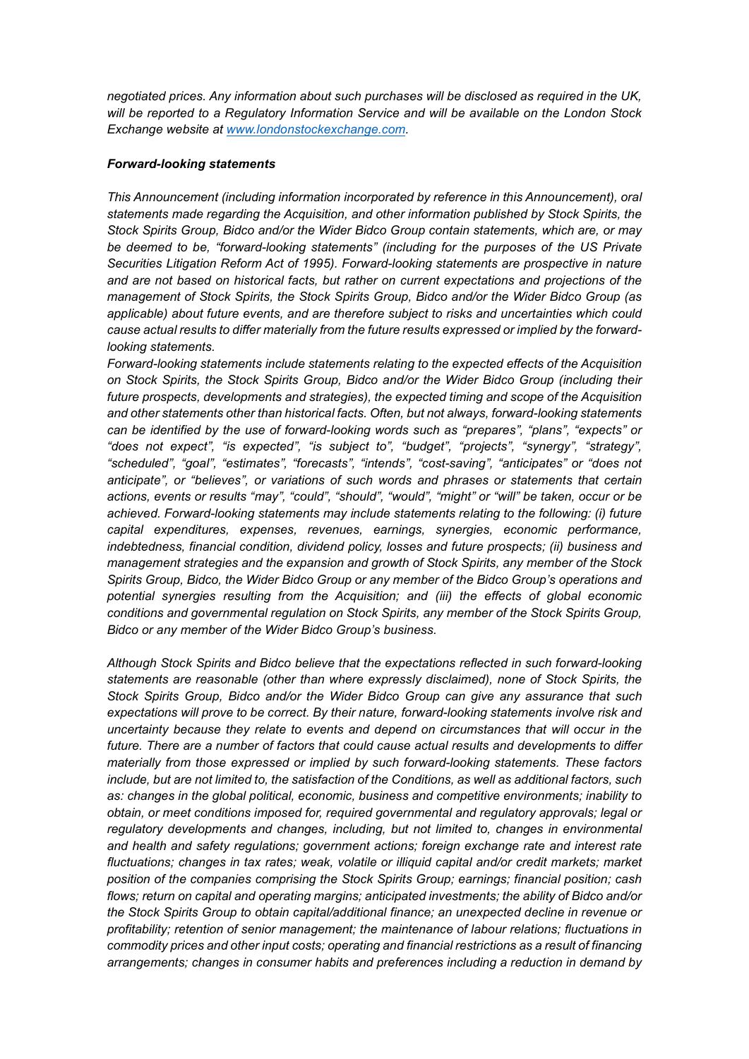negotiated prices. Any information about such purchases will be disclosed as required in the UK, will be reported to a Regulatory Information Service and will be available on the London Stock Exchange website at www.londonstockexchange.com.

## Forward-looking statements

This Announcement (including information incorporated by reference in this Announcement), oral statements made regarding the Acquisition, and other information published by Stock Spirits, the Stock Spirits Group, Bidco and/or the Wider Bidco Group contain statements, which are, or may be deemed to be, "forward-looking statements" (including for the purposes of the US Private Securities Litigation Reform Act of 1995). Forward-looking statements are prospective in nature and are not based on historical facts, but rather on current expectations and projections of the management of Stock Spirits, the Stock Spirits Group, Bidco and/or the Wider Bidco Group (as applicable) about future events, and are therefore subject to risks and uncertainties which could cause actual results to differ materially from the future results expressed or implied by the forwardlooking statements.

Forward-looking statements include statements relating to the expected effects of the Acquisition on Stock Spirits, the Stock Spirits Group, Bidco and/or the Wider Bidco Group (including their future prospects, developments and strategies), the expected timing and scope of the Acquisition and other statements other than historical facts. Often, but not always, forward-looking statements can be identified by the use of forward-looking words such as "prepares", "plans", "expects" or "does not expect", "is expected", "is subject to", "budget", "projects", "synergy", "strategy", "scheduled", "goal", "estimates", "forecasts", "intends", "cost-saving", "anticipates" or "does not anticipate", or "believes", or variations of such words and phrases or statements that certain actions, events or results "may", "could", "should", "would", "might" or "will" be taken, occur or be achieved. Forward-looking statements may include statements relating to the following: (i) future capital expenditures, expenses, revenues, earnings, synergies, economic performance, indebtedness, financial condition, dividend policy, losses and future prospects; (ii) business and management strategies and the expansion and growth of Stock Spirits, any member of the Stock Spirits Group, Bidco, the Wider Bidco Group or any member of the Bidco Group's operations and potential synergies resulting from the Acquisition; and (iii) the effects of global economic conditions and governmental regulation on Stock Spirits, any member of the Stock Spirits Group, Bidco or any member of the Wider Bidco Group's business.

Although Stock Spirits and Bidco believe that the expectations reflected in such forward-looking statements are reasonable (other than where expressly disclaimed), none of Stock Spirits, the Stock Spirits Group, Bidco and/or the Wider Bidco Group can give any assurance that such expectations will prove to be correct. By their nature, forward-looking statements involve risk and uncertainty because they relate to events and depend on circumstances that will occur in the future. There are a number of factors that could cause actual results and developments to differ materially from those expressed or implied by such forward-looking statements. These factors include, but are not limited to, the satisfaction of the Conditions, as well as additional factors, such as: changes in the global political, economic, business and competitive environments; inability to obtain, or meet conditions imposed for, required governmental and regulatory approvals; legal or regulatory developments and changes, including, but not limited to, changes in environmental and health and safety regulations; government actions; foreign exchange rate and interest rate fluctuations; changes in tax rates; weak, volatile or illiquid capital and/or credit markets; market position of the companies comprising the Stock Spirits Group; earnings; financial position; cash flows; return on capital and operating margins; anticipated investments; the ability of Bidco and/or the Stock Spirits Group to obtain capital/additional finance; an unexpected decline in revenue or profitability; retention of senior management; the maintenance of labour relations; fluctuations in commodity prices and other input costs; operating and financial restrictions as a result of financing arrangements; changes in consumer habits and preferences including a reduction in demand by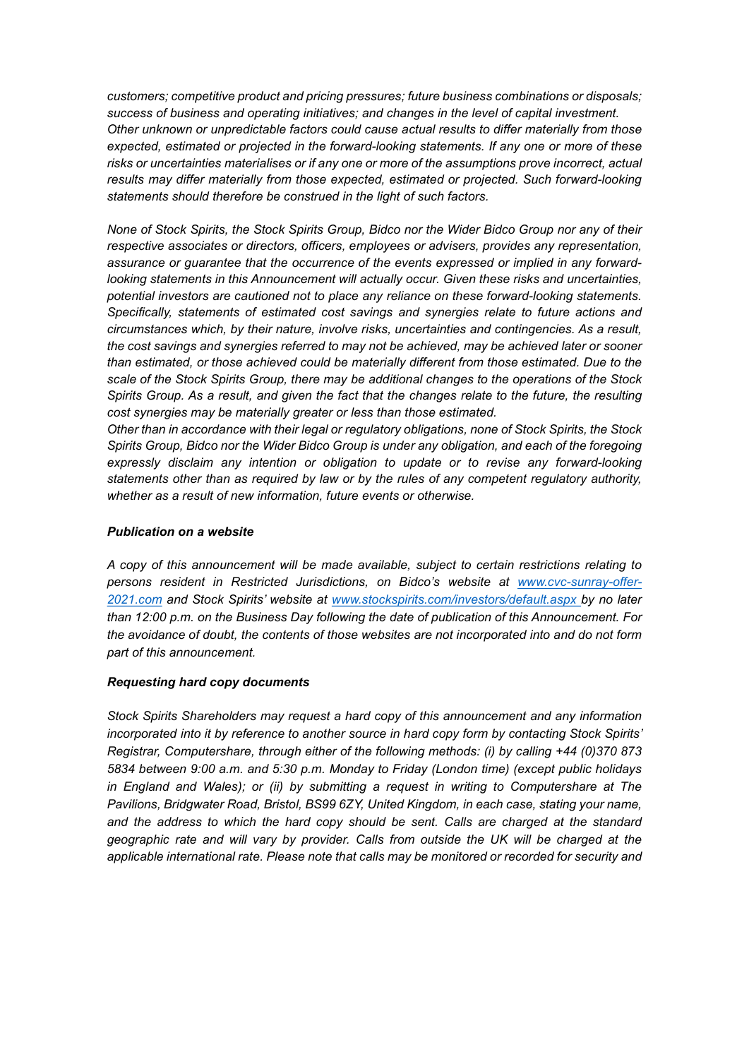customers; competitive product and pricing pressures; future business combinations or disposals; success of business and operating initiatives; and changes in the level of capital investment. Other unknown or unpredictable factors could cause actual results to differ materially from those expected, estimated or projected in the forward-looking statements. If any one or more of these risks or uncertainties materialises or if any one or more of the assumptions prove incorrect, actual results may differ materially from those expected, estimated or projected. Such forward-looking statements should therefore be construed in the light of such factors.

None of Stock Spirits, the Stock Spirits Group, Bidco nor the Wider Bidco Group nor any of their respective associates or directors, officers, employees or advisers, provides any representation, assurance or guarantee that the occurrence of the events expressed or implied in any forwardlooking statements in this Announcement will actually occur. Given these risks and uncertainties, potential investors are cautioned not to place any reliance on these forward-looking statements. Specifically, statements of estimated cost savings and synergies relate to future actions and circumstances which, by their nature, involve risks, uncertainties and contingencies. As a result, the cost savings and synergies referred to may not be achieved, may be achieved later or sooner than estimated, or those achieved could be materially different from those estimated. Due to the scale of the Stock Spirits Group, there may be additional changes to the operations of the Stock Spirits Group. As a result, and given the fact that the changes relate to the future, the resulting cost synergies may be materially greater or less than those estimated.

Other than in accordance with their legal or regulatory obligations, none of Stock Spirits, the Stock Spirits Group, Bidco nor the Wider Bidco Group is under any obligation, and each of the foregoing expressly disclaim any intention or obligation to update or to revise any forward-looking statements other than as required by law or by the rules of any competent regulatory authority, whether as a result of new information, future events or otherwise.

## Publication on a website

A copy of this announcement will be made available, subject to certain restrictions relating to persons resident in Restricted Jurisdictions, on Bidco's website at www.cvc-sunray-offer-2021.com and Stock Spirits' website at www.stockspirits.com/investors/default.aspx by no later than 12:00 p.m. on the Business Day following the date of publication of this Announcement. For the avoidance of doubt, the contents of those websites are not incorporated into and do not form part of this announcement.

## Requesting hard copy documents

Stock Spirits Shareholders may request a hard copy of this announcement and any information incorporated into it by reference to another source in hard copy form by contacting Stock Spirits' Registrar, Computershare, through either of the following methods: (i) by calling +44 (0)370 873 5834 between 9:00 a.m. and 5:30 p.m. Monday to Friday (London time) (except public holidays in England and Wales); or (ii) by submitting a request in writing to Computershare at The Pavilions, Bridgwater Road, Bristol, BS99 6ZY, United Kingdom, in each case, stating your name, and the address to which the hard copy should be sent. Calls are charged at the standard geographic rate and will vary by provider. Calls from outside the UK will be charged at the applicable international rate. Please note that calls may be monitored or recorded for security and